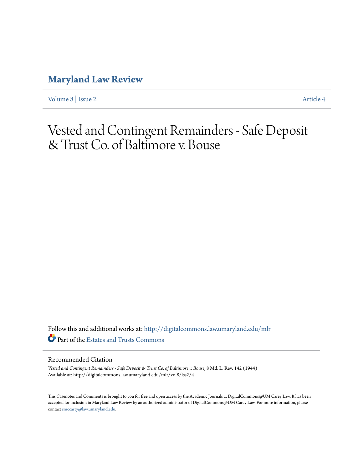## **[Maryland Law Review](http://digitalcommons.law.umaryland.edu/mlr?utm_source=digitalcommons.law.umaryland.edu%2Fmlr%2Fvol8%2Fiss2%2F4&utm_medium=PDF&utm_campaign=PDFCoverPages)**

[Volume 8](http://digitalcommons.law.umaryland.edu/mlr/vol8?utm_source=digitalcommons.law.umaryland.edu%2Fmlr%2Fvol8%2Fiss2%2F4&utm_medium=PDF&utm_campaign=PDFCoverPages) | [Issue 2](http://digitalcommons.law.umaryland.edu/mlr/vol8/iss2?utm_source=digitalcommons.law.umaryland.edu%2Fmlr%2Fvol8%2Fiss2%2F4&utm_medium=PDF&utm_campaign=PDFCoverPages) [Article 4](http://digitalcommons.law.umaryland.edu/mlr/vol8/iss2/4?utm_source=digitalcommons.law.umaryland.edu%2Fmlr%2Fvol8%2Fiss2%2F4&utm_medium=PDF&utm_campaign=PDFCoverPages)

# Vested and Contingent Remainders - Safe Deposit & Trust Co. of Baltimore v. Bouse

Follow this and additional works at: [http://digitalcommons.law.umaryland.edu/mlr](http://digitalcommons.law.umaryland.edu/mlr?utm_source=digitalcommons.law.umaryland.edu%2Fmlr%2Fvol8%2Fiss2%2F4&utm_medium=PDF&utm_campaign=PDFCoverPages) Part of the [Estates and Trusts Commons](http://network.bepress.com/hgg/discipline/906?utm_source=digitalcommons.law.umaryland.edu%2Fmlr%2Fvol8%2Fiss2%2F4&utm_medium=PDF&utm_campaign=PDFCoverPages)

### Recommended Citation

*Vested and Contingent Remainders - Safe Deposit & Trust Co. of Baltimore v. Bouse*, 8 Md. L. Rev. 142 (1944) Available at: http://digitalcommons.law.umaryland.edu/mlr/vol8/iss2/4

This Casenotes and Comments is brought to you for free and open access by the Academic Journals at DigitalCommons@UM Carey Law. It has been accepted for inclusion in Maryland Law Review by an authorized administrator of DigitalCommons@UM Carey Law. For more information, please contact [smccarty@law.umaryland.edu.](mailto:smccarty@law.umaryland.edu)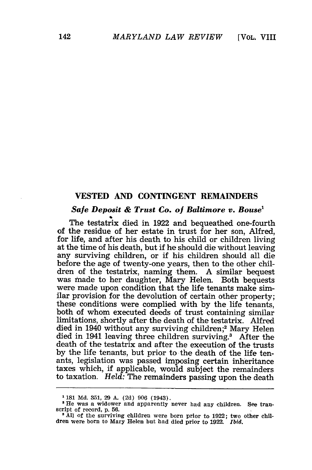#### **VESTED AND CONTINGENT** REMAINDERS

#### *Sale Deposit & Trust Co. of Baltimore v. Bouse'*

The testatrix died in 1922 and bequeathed one-fourth of the residue of her estate in trust for her son, Alfred, for life, and after his death to his child or children living at the time of his death, but if he should die without leaving any surviving children, or if his children should all die before the age of twenty-one years, then to the other children of the testatrix, naming them. A similar bequest was made to her daughter, Mary Helen. Both bequests were made upon condition that the life tenants make similar provision for the devolution of certain other property; these conditions were complied with by the life tenants, both of whom executed deeds of trust containing similar limitations, shortly after the death of the testatrix. Alfred died in 1940 without any surviving children;2 Mary Helen died in 1941 leaving three children surviving.<sup>3</sup> After the death of the testatrix and after the execution of the trusts by the life tenants, but prior to the death of the life tenants, legislation was passed imposing certain inheritance taxes which, if applicable, would subject the remainders to taxation. *Held:* The remainders passing upon the death

**<sup>1 181</sup> Md. 351, 29** *A.* **(2d) 906** (1943).

<sup>&#</sup>x27;He was a widower and apparently never had any children. See tran-

<sup>&</sup>lt;sup>3</sup> All of the surviving children were born prior to 1922; two other children were born to Mary Helen but had died prior to 1922. *Ibid.*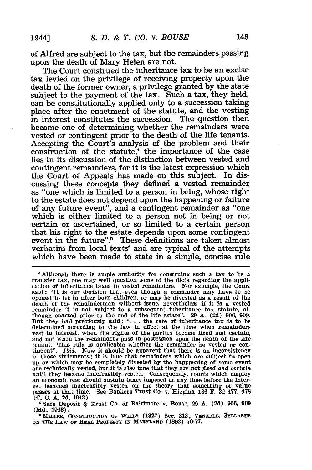of Alfred are subject to the tax, but the remainders passing upon the death of Mary Helen are not.

The Court construed the inheritance tax to be an excise tax levied on the privilege of receiving property upon the death of the former owner, a privilege granted **by** the state subject to the payment of the tax. Such a tax, they held, can be constitutionally applied only to a succession taking place after the enactment of the statute, and the vesting in interest constitutes the succession. The question then became one of determining whether the remainders were vested or contingent prior to the death of the life tenants. Accepting the Court's analysis of the problem and their construction of the statute, $4$  the importance of the case lies in its discussion of the distinction between vested and contingent remainders, for it is the latest expression which the Court of Appeals has made on this subject. In discussing these concepts they defined a vested remainder as "one which is limited to a person in being, whose right to the estate does not depend upon the happening or failure of any future event", and a contingent remainder as "one which is either limited to a person not in being or not certain or ascertained, or so limited to a certain person that his right to the estate depends upon some contingent event in the future".<sup>5</sup> These definitions are taken almost verbatim from local texts<sup>6</sup> and are typical of the attempts which have been made to state in a simple, concise rule

**I** Although there is ample authority for construing such a tax to be a transfer tax, one may well question some of the dicta regarding the application of inheritance taxes to vested remainders. For example, the Court said: "It is our decision that even though a remainder may have to be opened to let in after born children, or may be divested as a result of the death of the remainderman without issue, nevertheless if it is a vested remainder it is not subject to a subsequent inheritance tax statute, although enacted prior to the end of the life estate". **29 A. (2d) 906, 909.** But they had previously said: **". . .** the rate of inheritance tax is to be determined according to the law in effect at the time when remainders vest in interest, when the rights of the parties become fixed and certain, and not when the remainders pass in possession upon the death of the life tenant. This rule is applicable whether the remainder be vested or con-tingent". *Ibid.* Now it should be apparent that there is an inconsistency in those statements; it is true that remainders which are subject to open up or which may be completely divested **by** the happpening of some event are technically vested, but it is also true that they are not *fixed and certain* until they become indefeasibly vested. Consequently, courts which employ an economic test should sustain taxes imposed at any time before the interest becomes indefeasibly vested on the theory that something of value passes at that time. See Bankers Trust Co. v. Higgins, **136 F. 2d 477, 478 (C. C. A. 2d,** 1943).

**SSafe** Deposit **&** Trust Co. of Baltimore v. Bouse, 29 **A. (2d) 906, 909 (Md.,** 1943).

**a MILLER, CONSTRUCTON OF** WILLS **(1927)** Sec. **213; VExABLE,** SYLLABUs **ON THE LAW** or **REAL PROPERTY IN MARYLAND (1892) 76-77.**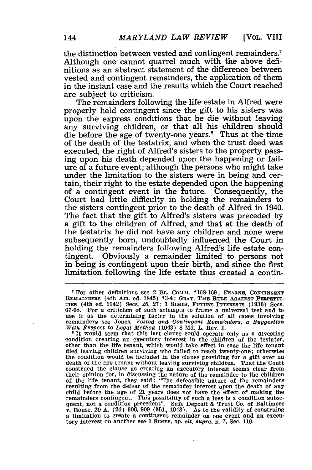the distinction between vested and contingent remainders.7 Although one cannot quarrel much with the above definitions as an abstract statement of the difference between vested and contingent remainders, the application of them in the instant case and the results which the Court reached are subject to criticism.

The remainders following the life estate in Alfred were properly held contingent since the gift to his sisters was upon the express conditions that he die without leaving any surviving children, or that all his children should die before the age of twenty-one years.<sup>8</sup> Thus at the time of the death of the testatrix, and when the trust deed was executed, the right of Alfred's sisters to the property passing upon his death depended upon the happening or failure of a future event; although the persons who might take under the limitation to the sisters were in being and certain, their right to the estate depended upon the happening of a contingent event in the future. Consequently, the Court had little difficulty in holding the remainders to the sisters contingent prior to the death of Alfred in 1940. The fact that the gift to Alfred's sisters was preceded **by** a gift to the children of Alfred, and that at the death of the testatrix he did not have any children and none were subsequently born, undoubtedly influenced the Court in holding the remainders following Alfred's life estate contingent. Obviously a remainder limited to persons not in being is contingent upon their birth, and since the first limitation following the life estate thus created a contin-

For other definitions see 2 BL. **COMM. \*168-169; FEARNE, CONTINGENT REMAINDERS** (4th Am. ed. 1845) \*34; GRAY, **THE** RULE **AGAINST PERPETUI-TIES** (4th ed. 1942) Secs. **25, 27; 1** SIMEs, **FUTURE** INTERESTS **(1936)** Sees. expansion of such attempts to frame a universal test and to<br>use it as the determining factor in the solution of all cases involving<br>remainders see Jones, Vested and Contingent Remainders, a Suggestion *With Respect to Legat Method* (1943) **8 Md.** L. Rev. **1.**

**<sup>8</sup>** It would seem that this last clause could operate only as a divesting condition creating an executory interest **in** the children of the testator, other than the life tenant, which would take effect in case the life tenant died leaving children surviving who failed to reach twenty-one; otherwise the condition would be included in the clause providing for a gift over on death of the life tenant without leaving surviving children. That the Court construed the clause as creating an executory interest seems clear from their opinion for, in discussing the nature of the remainder to the children<br>of the life tenant, they said: "The defeasible nature of the remainders<br>resulting from the defeat of the remainder interest upon the death of any child before the age of 21 years does not have the effect of making the remainders contingent. This possibility of such a loss is a condition subsequent, not a condition precedent". Safe Deposit & Trust Co. of Baltimore v. Bouse, **29 A. (2d) 906, 909 (Md.,** 1943). As to the validity of construing a limitation to create a contingent remainder on one event and an executory interest on another see **1 SIMEs,** Op. cit. 8upra, n. **7,** Sec. **110.**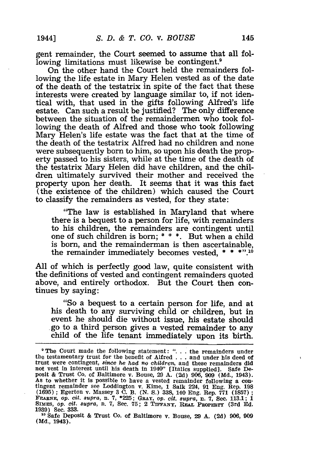gent remainder, the Court seemed to assume that all following limitations must likewise be contingent.<sup>9</sup>

On the other hand the Court held the remainders following the life estate in Mary Helen vested as of the date of the death of the testatrix in spite of the fact that these interests were created by language similar to, if not identical with, that used in the gifts following Alfred's life estate. Can such a result be justified? The only difference between the situation of the remaindermen who took following the death of Alfred and those who took following Mary Helen's life estate was the fact that at the time of the death of the testatrix Alfred had no children and none were subsequently born to him, so upon his death the property passed to his sisters, while at the time of the death of the testatrix Mary Helen did have children, and the children ultimately survived their mother and received the property upon her death. It seems that it was this fact (the existence of the children) which caused the Court to classify the remainders as vested, for they state:

"The law is established in Maryland that where there is a bequest to a person for life, with remainders to his children, the remainders are contingent until one of such children is born; **\* \* \*.** But when a child is born, and the remainderman is then ascertainable, the remainder immediately becomes vested, **\* \* \*" .10**

All of which is perfectly good law, quite consistent with the definitions of vested and contingent remainders quoted above, and entirely orthodox. But the Court then continues by saying:

"So a bequest to a certain person for life, and at his death to any surviving child or children, but in event he should die without issue, his estate should .go to a third person gives a vested remainder to any child of the life tenant immediately upon its birth.

The Court made the following statement: **". .** .the remainders under the testamentary trust for the benefit of Alfred **.. .**and under his deed of trust were contingent, *since he had* no *children,* and these remainders did not vest in interest until his death in 1940" [Italics supplied]. Safe De-posit & Trust Co. of Baltimore v. Bouse, 29 A. (2d) 906, 909 (Md., 1943). As to whether it is possible to have a vested remainder following a contingent remainder see Loddington v. Kime, 1 Salk 224, 91 Eng. Rep. 198 (1695); Egerton v. Massey 3 C. B. (N. S.) 338, 140 Eng. Rep. 771 (1857); FEARNE,

**<sup>10</sup>**Safe Deposit & Trust Co. of Baltimore v. Bouse, 29 **A.** (2d) 906, 909 **(Md.,** 1943).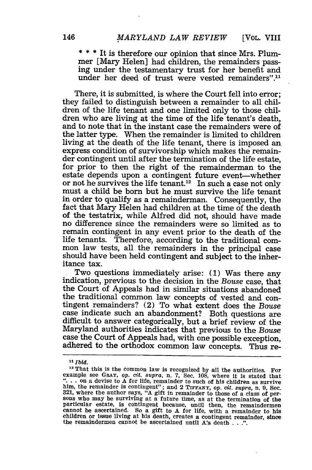**\* \* \*** It is therefore our opinion that since Mrs. Plummer [Mary Helen] had children, the remainders pass- ing under the testamentary trust for her benefit and under her deed of trust were vested remainders".11

There, it is submitted, is where the Court fell into error; they failed to distinguish between a remainder to all children of the life tenant and one limited only to those children who are living at the time of the life tenant's death, and to note that in the instant case the remainders were of the latter type. When the remainder is limited to children living at the death of the life tenant, there is imposed an express condition of survivorship which makes the remainder contingent until after the termination of the life estate, for prior to then the right of the remainderman to the estate depends upon a contingent future event-whether or not he survives the life tenant.<sup>12</sup> In such a case not only must a child be born but he must survive the life tenant in order to qualify as a remainderman. Consequently, the fact that Mary Helen had children at the time of the death of the testatrix, while Alfred did not, should have made no difference since the remainders were so limited as to remain contingent in any event prior to the death of the life tenants. Therefore, according to the traditional common law tests, all the remainders in the principal case should have been held contingent and subject to the inheritance tax.

Two questions immediately arise: (1) Was there any indication, previous to the decision in the *Bouse* case, that the Court of Appeals had in similar situations abandoned the traditional common law concepts of vested and contingent remainders? (2) To what extent does the *Bouse* case indicate such an abandonment? Both questions are difficult to answer categorically, but a brief review of the Maryland authorities indicates that previous to the *Bouse* case the Court of Appeals had, with one possible exception, adhered to the orthodox common law concepts. Thus re-

<sup>&</sup>lt;sup>11</sup> *Ibid.*<br><sup>12</sup> That this is the common law is recognized by all the authorities. For example see **GRAY,** *op. cit. supra,* n. **7,** Sec. 108, where it is stated that **"...** on a devise to A for life, remainder to such of his children as survive him, the remainder is contingent"; and 2 TIFFANY, op. *cit. supra*, n. 9, Sec. 321, where the author says, "A gift in remainder to those of a class of persons who may be surviving at a future time, as at the termination of the particular estate, is contingent because, until then, the remaindermen cannot be ascertained. So a gift to A for life, with a remainder to his children or issue living at his death, creates a contingent remainder, since the remaindermen cannot be ascertained until A's death . . **.".**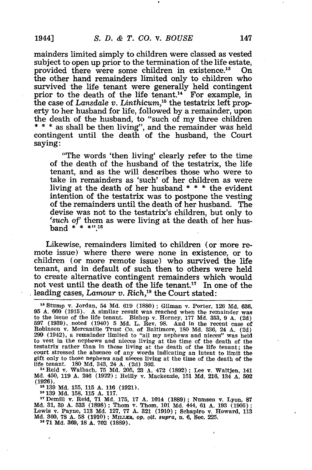mainders limited simply to children were classed as vested subject to open up prior to the termination of the life estate, provided there were some children in existence.<sup>13</sup> On the other hand remainders limited only to children who survived the life tenant were generally held contingent prior to the death of the life tenant.<sup>14</sup> For example, in the case of *Lansdale v. Linthicum,15* the testatrix left property to her husband for life, followed by a remainder, upon the death of the husband, to "such of my three children **\* \* \*** as shall be then living", and the remainder was held contingent until the death of the husband, the Court saying:

"The words 'then living' clearly refer to the time of the death of the husband of the testatrix, the life tenant, and as the will describes those who were to take in remainders as 'such' of her children as were living at the death of her husband **\* \* \*** the evident intention of the testatrix was to postpone the vesting of the remainders until the death of her husband. The devise was not to the testatrix's children, but only to 'such of' them as were living at the death of her husband **\* \* \*" 18**

Likewise, remainders limited to children (or more remote issue) where there were none in existence, or to children (or more remote issue) who survived the life tenant, and in default of such then to others were held to create alternative contingent remainders which would not vest until the death of the life tenant.<sup>17</sup> In one of the leading cases, *Lamour v. Rich*,<sup>18</sup> the Court stated:

Stump v. Jordan, 54 Md. 619 (1880) ; Gilman v. Porter, **126 Md.** 636, 95 A. 660 (1915). A similar result was reached when the remainder was to the issue of the life tenant. Bishop v. Horney, 177 Md. 353, 9 A. (2d) 597 (1939), noted (1940) 5 Md. L. Rev. 98. And in the recent case of Robinson v. Mercantile Trust Co. of Baltimore, 180 Md. 336, 24 A. **(2d)** 299 (1942), a remainder limited to "all my nephews and nieces" was held to vest in the nephews and nieces living at the time of the death of the testatrix rather than in those living at the death of the life tenant; the court stressed the absence of any words indicating an intent to limit the gift only to those nephews and nieces living at the time of the death of the

life tenant. 180 Md. 343, 24 A. (2d) **302.** <sup>1</sup> <sup>4</sup> Reid v. Walbach, **75** Md. 205, 23 A. 472 (1892); Lee v. WaltJen, 141 Md. 450, 119 A. 246 (1922) ; Reilly v. Mackenzie, **151** Md. 216, 134 **A. 502** (1926).

**15 139 Md. 155, 115 A. 116 (1921).**

**<sup>16</sup>**139 Md. 158, 115 A. 117. <sup>1</sup> <sup>7</sup> Demill v. Reid, 71 Md. 175, **17 A.** 1014 (1889); Numsen v. Lyon, **<sup>87</sup>** Md. 31, **39** A. **533** (1898); Thorn v. Thom, 101 Md. 444, **61** A. 193 (1905) **;** Lewis v. Payne, 113 Md. 127, 77 A. 321 (1910) **;** Schapiro v. Howard, 113 **Md. 360, 78 A. 58** (1910); Mnmmm, *op.* cit. *supra,* n. **6,** See. **225. 18 71 Md. 369, 18 A. 702 (1889).**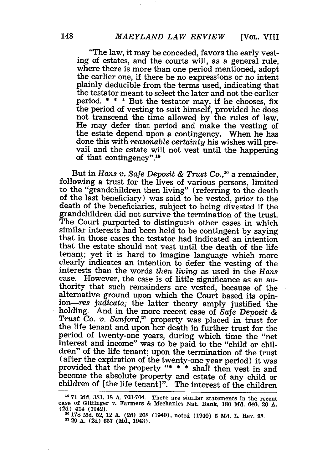"The law, it may be conceded, favors the early vesting of estates, and the courts will, as a general rule, where there is more than one period mentioned, adopt the earlier one, if there be no expressions or no intent plainly deducible from the terms used, indicating that the testator meant to select the later and not the earlier period. **\* \* \*** But the testator may, if he chooses, fix the period of vesting to suit himself, provided he does not transcend the time allowed by the rules of law. He may defer that period and make the vesting of the estate depend upon a contingency. When he has done this with *reasonable certainty* his wishes will pre- vail and the estate will not vest until the happening of that contingency". <sup>19</sup>

But in *Hans v. Safe Deposit & Trust Co.,20* a remainder, following a trust for the lives of various persons, limited to the "grandchildren then living" (referring to the death of the last beneficiary) was said to be vested, prior to the death of the beneficiaries, subject to being divested if the grandchildren did not survive the termination of the trust. The Court purported to distinguish other cases in which similar interests had been held to be contingent by saying that in those cases the testator had indicated an intention that the estate should not vest until the death of the life tenant; yet it is hard to imagine language which more clearly indicates an intention to defer the vesting of the interests than the words *then living* as used in the *Hans* However, the case is of little significance as an authority that such remainders are vested, because of the alternative ground upon which the Court based its opinion-res judicata; the latter theory amply justified the holding. And in the more recent case of *Safe Deposit & Trust Co. v. Sanford,21* property was placed in trust for the life tenant and upon her death in further trust for the period of twenty-one years, during which time the "net interest and income" was to be paid to the "child or children" of the life tenant; upon the termination of the trust (after the expiration of the twenty-one year period) it was provided that the property **"\* \* \*** shall then vest in and become the absolute property and estate of any child or secome the asseme property and estate of any end of children of [the life tenant]". The interest of the children

**<sup>19 71</sup>** Md. 383, 18 A. 703-704. There are similar statements in the recent case of Gittinger v. Farmers & Mechanics Nat. Bank, **180** Md. 640, 26 A. **(2d)** 414 (1942).

<sup>20</sup>**178 Md.** 52, 12 A. (2d) **208** (1940), noted (1940) **5** Md. L. Rev. 98. **21 29 A. (2d) 657** (Md., 1943).